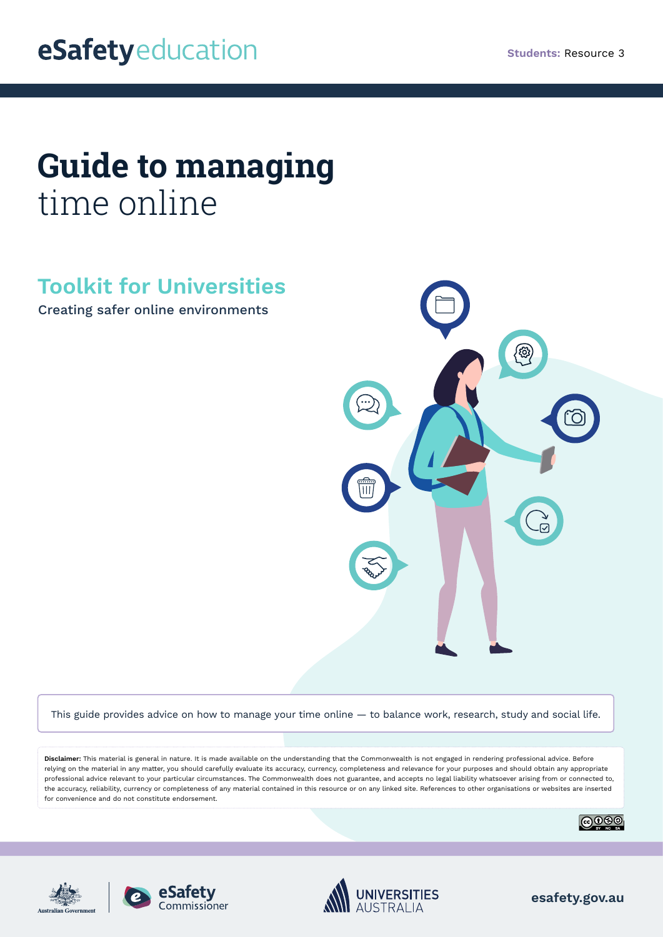# **Guide to managing**  time online

# **Toolkit for Universities**

Creating safer online environments



This guide provides advice on how to manage your time online — to balance work, research, study and social life.

**Disclaimer:** This material is general in nature. It is made available on the understanding that the Commonwealth is not engaged in rendering professional advice. Before relying on the material in any matter, you should carefully evaluate its accuracy, currency, completeness and relevance for your purposes and should obtain any appropriate professional advice relevant to your particular circumstances. The Commonwealth does not guarantee, and accepts no legal liability whatsoever arising from or connected to, the accuracy, reliability, currency or completeness of any material contained in this resource or on any linked site. References to other organisations or websites are inserted for convenience and do not constitute endorsement.









**esafety.gov.au**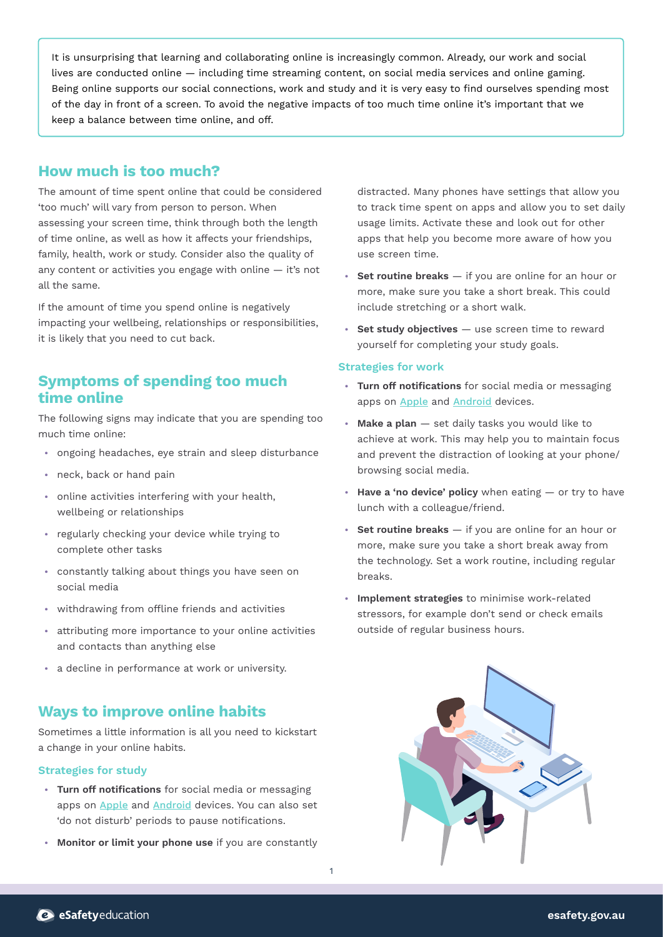It is unsurprising that learning and collaborating online is increasingly common. Already, our work and social lives are conducted online — including time streaming content, on social media services and online gaming. Being online supports our social connections, work and study and it is very easy to find ourselves spending most of the day in front of a screen. To avoid the negative impacts of too much time online it's important that we keep a balance between time online, and off.

## **How much is too much?**

The amount of time spent online that could be considered 'too much' will vary from person to person. When assessing your screen time, think through both the length of time online, as well as how it affects your friendships, family, health, work or study. Consider also the quality of any content or activities you engage with online — it's not all the same.

If the amount of time you spend online is negatively impacting your wellbeing, relationships or responsibilities, it is likely that you need to cut back.

# **Symptoms of spending too much time online**

The following signs may indicate that you are spending too much time online:

- **•** ongoing headaches, eye strain and sleep disturbance
- **•** neck, back or hand pain
- **•** online activities interfering with your health, wellbeing or relationships
- **•** regularly checking your device while trying to complete other tasks
- **•** constantly talking about things you have seen on social media
- **•** withdrawing from offline friends and activities
- **•** attributing more importance to your online activities and contacts than anything else
- **•** a decline in performance at work or university.

# **Ways to improve online habits**

Sometimes a little information is all you need to kickstart a change in your online habits.

#### **Strategies for study**

- **• Turn off notifications** for social media or messaging apps on [Apple](https://support.apple.com/en-au/HT201925) and [Android](https://support.google.com/android/answer/9079661?hl=en) devices. You can also set 'do not disturb' periods to pause notifications.
- **• Monitor or limit your phone use** if you are constantly

1

distracted. Many phones have settings that allow you to track time spent on apps and allow you to set daily usage limits. Activate these and look out for other apps that help you become more aware of how you use screen time.

- **• Set routine breaks** if you are online for an hour or more, make sure you take a short break. This could include stretching or a short walk.
- **• Set study objectives** use screen time to reward yourself for completing your study goals.

#### **Strategies for work**

- **• Turn off notifications** for social media or messaging apps on [Apple](https://support.apple.com/en-au/HT201925) and [Android](https://support.google.com/android/answer/9079661?hl=en) devices.
- **• Make a plan** set daily tasks you would like to achieve at work. This may help you to maintain focus and prevent the distraction of looking at your phone/ browsing social media.
- **• Have a 'no device' policy** when eating or try to have lunch with a colleague/friend.
- **• Set routine breaks** if you are online for an hour or more, make sure you take a short break away from the technology. Set a work routine, including regular breaks.
- **• Implement strategies** to minimise work-related stressors, for example don't send or check emails outside of regular business hours.